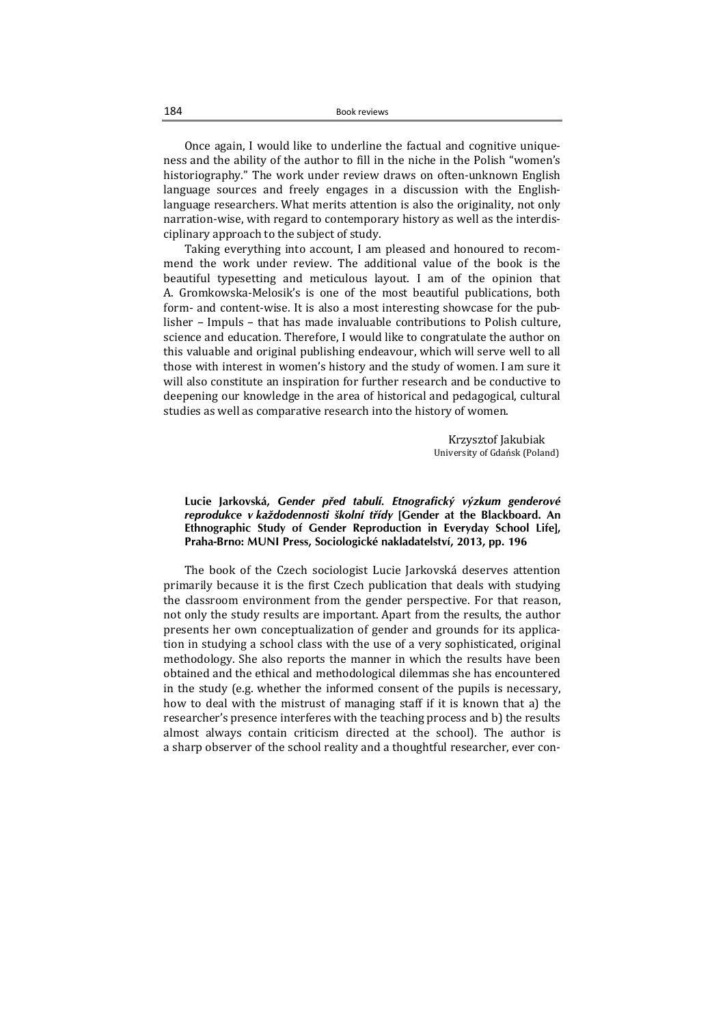**Lucie Jarkovská,** *Gender před tabulí. Etnografický výzkum genderové reprodukce v každodennosti školní třídy* **[Gender at the Blackboard. An Ethnographic Study of Gender Reproduction in Everyday School Life], Praha-Brno: MUNI Press, Sociologické nakladatelství, 2013, pp. 196** 

The book of the Czech sociologist Lucie Jarkovská deserves attention primarily because it is the first Czech publication that deals with studying the classroom environment from the gender perspective. For that reason, not only the study results are important. Apart from the results, the author presents her own conceptualization of gender and grounds for its application in studying a school class with the use of a very sophisticated, original methodology. She also reports the manner in which the results have been obtained and the ethical and methodological dilemmas she has encountered in the study (e.g. whether the informed consent of the pupils is necessary, how to deal with the mistrust of managing staff if it is known that a) the researcher's presence interferes with the teaching process and b) the results almost always contain criticism directed at the school). The author is a sharp observer of the school reality and a thoughtful researcher, ever con-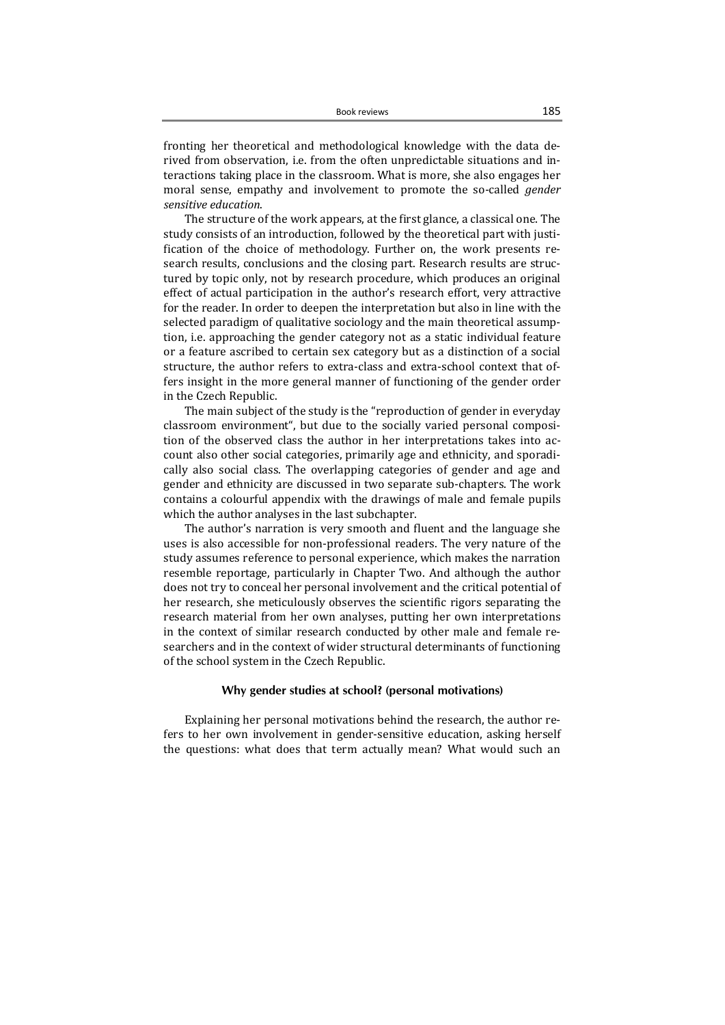fronting her theoretical and methodological knowledge with the data derived from observation, i.e. from the often unpredictable situations and interactions taking place in the classroom. What is more, she also engages her moral sense, empathy and involvement to promote the so-called *gender sensitive education*. 

The structure of the work appears, at the first glance, a classical one. The study consists of an introduction, followed by the theoretical part with justification of the choice of methodology. Further on, the work presents research results, conclusions and the closing part. Research results are structured by topic only, not by research procedure, which produces an original effect of actual participation in the author's research effort, very attractive for the reader. In order to deepen the interpretation but also in line with the selected paradigm of qualitative sociology and the main theoretical assumption, i.e. approaching the gender category not as a static individual feature or a feature ascribed to certain sex category but as a distinction of a social structure, the author refers to extra-class and extra-school context that offers insight in the more general manner of functioning of the gender order in the Czech Republic.

The main subject of the study is the "reproduction of gender in everyday classroom environment", but due to the socially varied personal composition of the observed class the author in her interpretations takes into account also other social categories, primarily age and ethnicity, and sporadically also social class. The overlapping categories of gender and age and gender and ethnicity are discussed in two separate sub-chapters. The work contains a colourful appendix with the drawings of male and female pupils which the author analyses in the last subchapter.

The author's narration is very smooth and fluent and the language she uses is also accessible for non-professional readers. The very nature of the study assumes reference to personal experience, which makes the narration resemble reportage, particularly in Chapter Two. And although the author does not try to conceal her personal involvement and the critical potential of her research, she meticulously observes the scientific rigors separating the research material from her own analyses, putting her own interpretations in the context of similar research conducted by other male and female researchers and in the context of wider structural determinants of functioning of the school system in the Czech Republic.

# **Why gender studies at school? (personal motivations)**

Explaining her personal motivations behind the research, the author refers to her own involvement in gender-sensitive education, asking herself the questions: what does that term actually mean? What would such an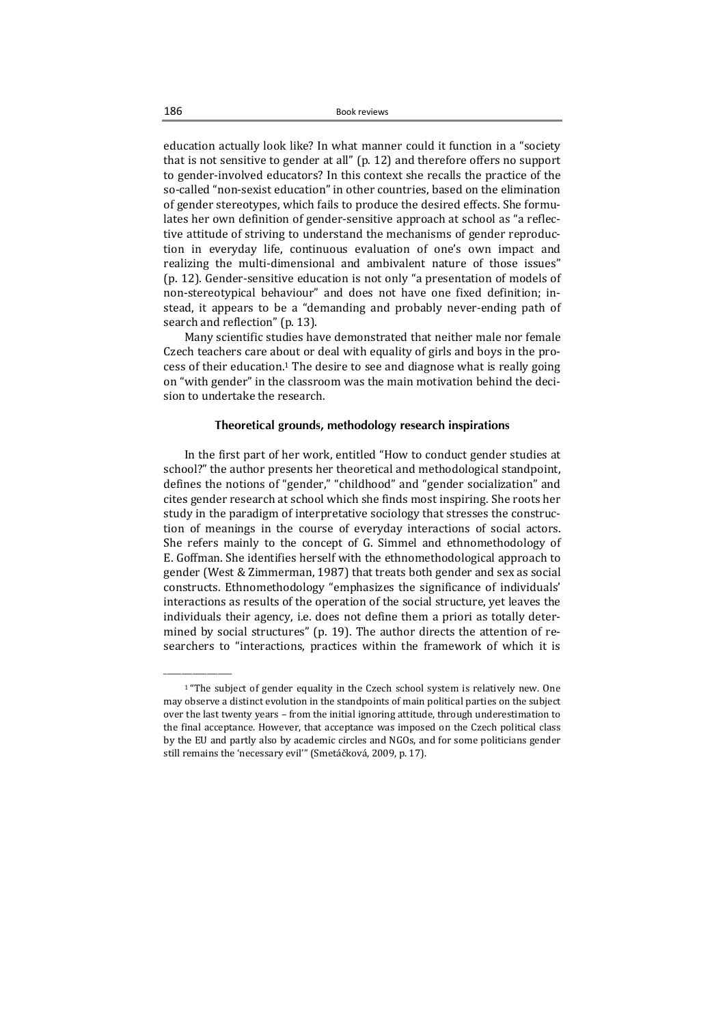education actually look like? In what manner could it function in a "society that is not sensitive to gender at all" (p. 12) and therefore offers no support to gender-involved educators? In this context she recalls the practice of the so-called "non-sexist education" in other countries, based on the elimination of gender stereotypes, which fails to produce the desired effects. She formulates her own definition of gender-sensitive approach at school as "a reflective attitude of striving to understand the mechanisms of gender reproduction in everyday life, continuous evaluation of one's own impact and realizing the multi-dimensional and ambivalent nature of those issues" (p. 12). Gender-sensitive education is not only "a presentation of models of non-stereotypical behaviour" and does not have one fixed definition; instead, it appears to be a "demanding and probably never-ending path of search and reflection" (p. 13).

Many scientific studies have demonstrated that neither male nor female Czech teachers care about or deal with equality of girls and boys in the process of their education.<sup>1</sup> The desire to see and diagnose what is really going on "with gender" in the classroom was the main motivation behind the decision to undertake the research.

# **Theoretical grounds, methodology research inspirations**

In the first part of her work, entitled "How to conduct gender studies at school?" the author presents her theoretical and methodological standpoint, defines the notions of "gender," "childhood" and "gender socialization" and cites gender research at school which she finds most inspiring. She roots her study in the paradigm of interpretative sociology that stresses the construction of meanings in the course of everyday interactions of social actors. She refers mainly to the concept of  $G$ . Simmel and ethnomethodology of E. Goffman. She identifies herself with the ethnomethodological approach to gender (West & Zimmerman, 1987) that treats both gender and sex as social constructs. Ethnomethodology "emphasizes the significance of individuals' interactions as results of the operation of the social structure, yet leaves the individuals their agency, i.e. does not define them a priori as totally determined by social structures" (p. 19). The author directs the attention of researchers to "interactions, practices within the framework of which it is

\_\_\_\_\_\_\_\_\_\_\_\_\_\_\_\_\_\_\_ 

 $1$  "The subject of gender equality in the Czech school system is relatively new. One may observe a distinct evolution in the standpoints of main political parties on the subject over the last twenty years - from the initial ignoring attitude, through underestimation to the final acceptance. However, that acceptance was imposed on the Czech political class by the EU and partly also by academic circles and NGOs, and for some politicians gender still remains the 'necessary evil"' (Smetáčková, 2009, p. 17).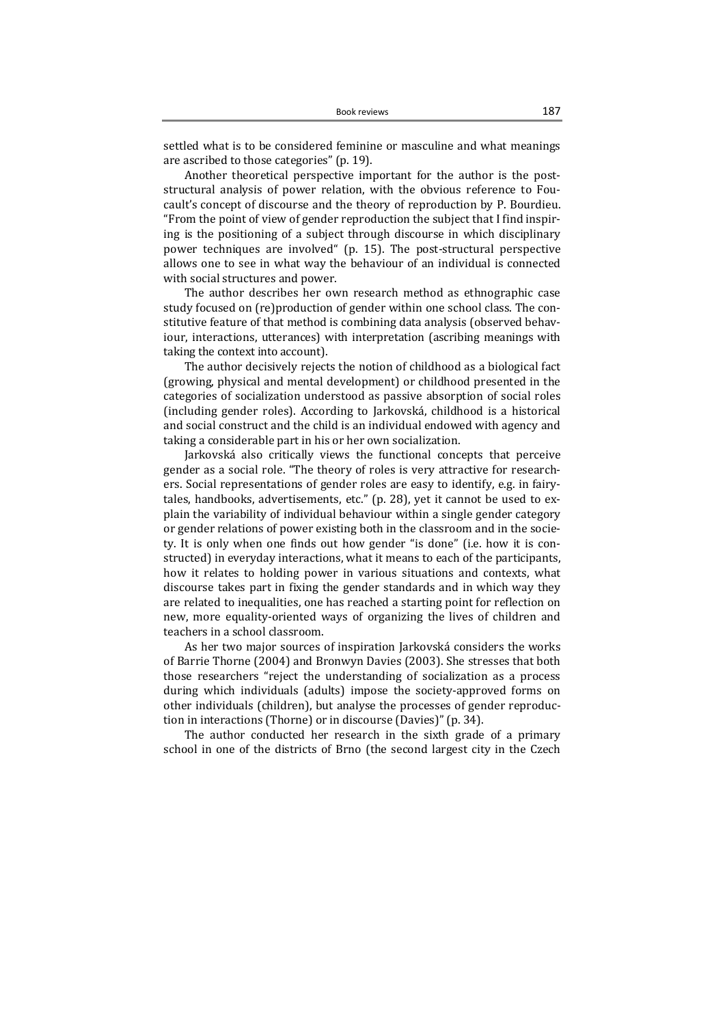settled what is to be considered feminine or masculine and what meanings are ascribed to those categories" (p. 19).

Another theoretical perspective important for the author is the poststructural analysis of power relation, with the obvious reference to Foucault's concept of discourse and the theory of reproduction by P. Bourdieu. "From the point of view of gender reproduction the subject that I find inspiring is the positioning of a subject through discourse in which disciplinary power techniques are involved"  $(p. 15)$ . The post-structural perspective allows one to see in what way the behaviour of an individual is connected with social structures and power.

The author describes her own research method as ethnographic case study focused on (re)production of gender within one school class. The constitutive feature of that method is combining data analysis (observed behaviour, interactions, utterances) with interpretation (ascribing meanings with taking the context into account).

The author decisively rejects the notion of childhood as a biological fact (growing, physical and mental development) or childhood presented in the categories of socialization understood as passive absorption of social roles (including gender roles). According to Jarkovská, childhood is a historical and social construct and the child is an individual endowed with agency and taking a considerable part in his or her own socialization.

Jarkovská also critically views the functional concepts that perceive gender as a social role. "The theory of roles is very attractive for researchers. Social representations of gender roles are easy to identify, e.g. in fairytales, handbooks, advertisements, etc." (p. 28), yet it cannot be used to explain the variability of individual behaviour within a single gender category or gender relations of power existing both in the classroom and in the society. It is only when one finds out how gender "is done" (i.e. how it is constructed) in everyday interactions, what it means to each of the participants, how it relates to holding power in various situations and contexts, what discourse takes part in fixing the gender standards and in which way they are related to inequalities, one has reached a starting point for reflection on new, more equality-oriented ways of organizing the lives of children and teachers in a school classroom.

As her two major sources of inspiration Jarkovská considers the works of Barrie Thorne (2004) and Bronwyn Davies (2003). She stresses that both those researchers "reject the understanding of socialization as a process during which individuals (adults) impose the society-approved forms on other individuals (children), but analyse the processes of gender reproduction in interactions (Thorne) or in discourse (Davies)" (p. 34).

The author conducted her research in the sixth grade of a primary school in one of the districts of Brno (the second largest city in the Czech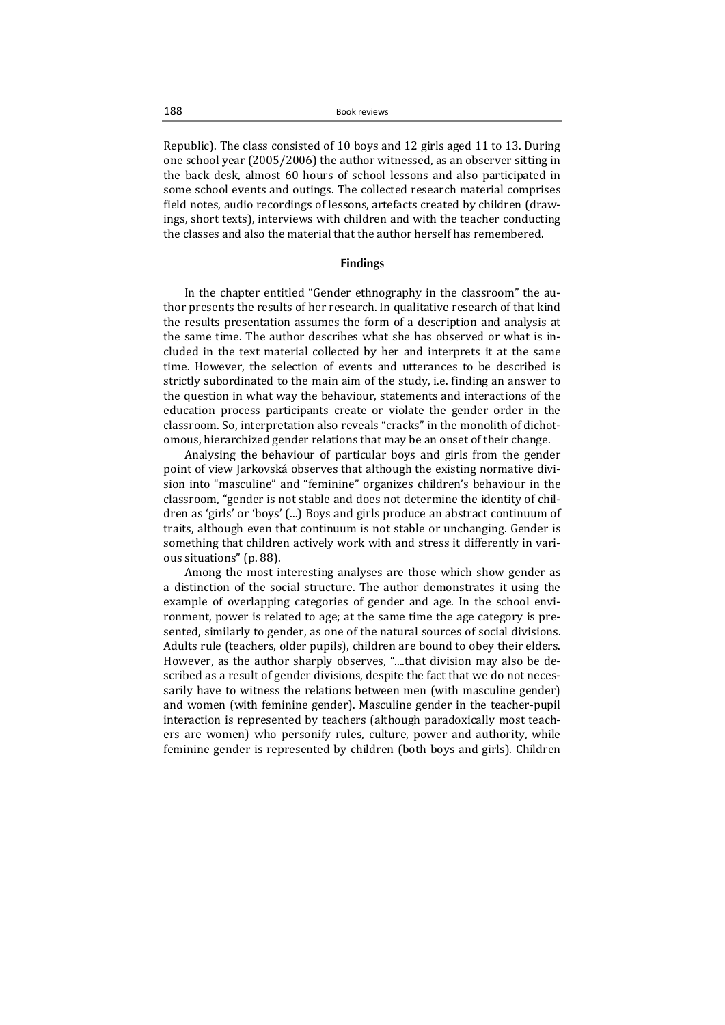Republic). The class consisted of 10 boys and 12 girls aged 11 to 13. During one school vear  $(2005/2006)$  the author witnessed, as an observer sitting in the back desk, almost 60 hours of school lessons and also participated in some school events and outings. The collected research material comprises field notes, audio recordings of lessons, artefacts created by children (drawings, short texts), interviews with children and with the teacher conducting the classes and also the material that the author herself has remembered.

### **Findings**

In the chapter entitled "Gender ethnography in the classroom" the author presents the results of her research. In qualitative research of that kind the results presentation assumes the form of a description and analysis at the same time. The author describes what she has observed or what is included in the text material collected by her and interprets it at the same time. However, the selection of events and utterances to be described is strictly subordinated to the main aim of the study, i.e. finding an answer to the question in what way the behaviour, statements and interactions of the education process participants create or violate the gender order in the classroom. So, interpretation also reveals "cracks" in the monolith of dichotomous, hierarchized gender relations that may be an onset of their change.

Analysing the behaviour of particular boys and girls from the gender point of view Jarkovská observes that although the existing normative division into "masculine" and "feminine" organizes children's behaviour in the classroom, "gender is not stable and does not determine the identity of children as 'girls' or 'boys' (...) Boys and girls produce an abstract continuum of traits, although even that continuum is not stable or unchanging. Gender is something that children actively work with and stress it differently in various situations" (p. 88).

Among the most interesting analyses are those which show gender as a distinction of the social structure. The author demonstrates it using the example of overlapping categories of gender and age. In the school environment, power is related to age; at the same time the age category is presented, similarly to gender, as one of the natural sources of social divisions. Adults rule (teachers, older pupils), children are bound to obey their elders. However, as the author sharply observes, "....that division may also be described as a result of gender divisions, despite the fact that we do not necessarily have to witness the relations between men (with masculine gender) and women (with feminine gender). Masculine gender in the teacher-pupil interaction is represented by teachers (although paradoxically most teachers are women) who personify rules, culture, power and authority, while feminine gender is represented by children (both boys and girls). Children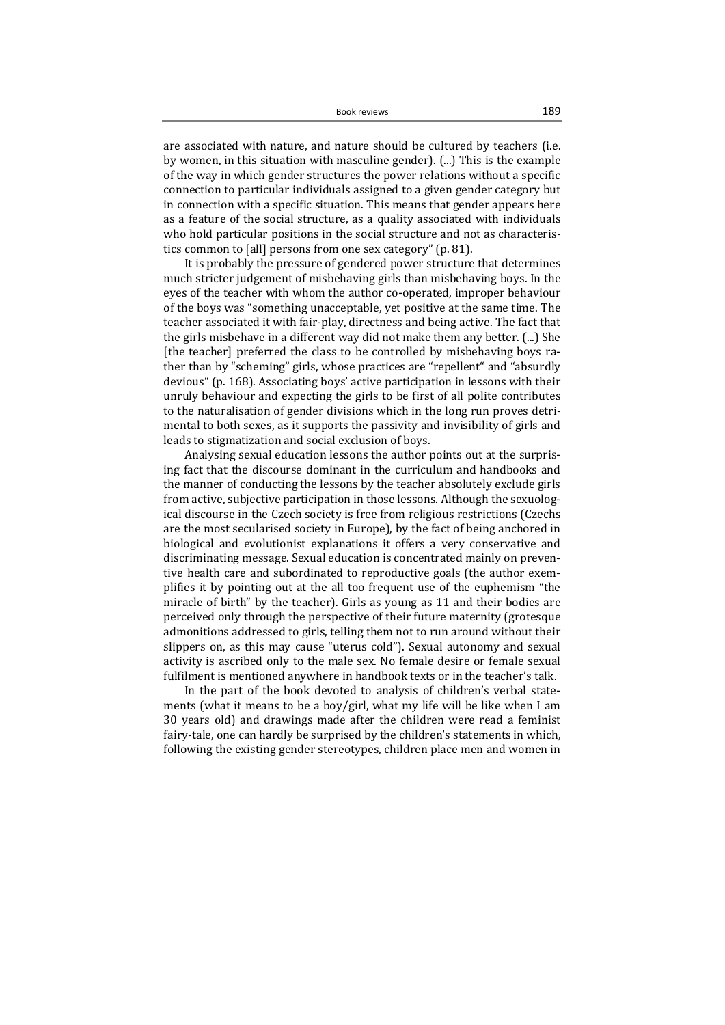are associated with nature, and nature should be cultured by teachers (i.e. by women, in this situation with masculine gender).  $(\ldots)$  This is the example of the way in which gender structures the power relations without a specific connection to particular individuals assigned to a given gender category but in connection with a specific situation. This means that gender appears here as a feature of the social structure, as a quality associated with individuals who hold particular positions in the social structure and not as characteristics common to [all] persons from one sex category" (p. 81).

It is probably the pressure of gendered power structure that determines much stricter judgement of misbehaving girls than misbehaving boys. In the eyes of the teacher with whom the author co-operated, improper behaviour of the boys was "something unacceptable, yet positive at the same time. The teacher associated it with fair-play, directness and being active. The fact that the girls misbehave in a different way did not make them any better. (...) She [the teacher] preferred the class to be controlled by misbehaving boys rather than by "scheming" girls, whose practices are "repellent" and "absurdly devious" (p. 168). Associating boys' active participation in lessons with their unruly behaviour and expecting the girls to be first of all polite contributes to the naturalisation of gender divisions which in the long run proves detrimental to both sexes, as it supports the passivity and invisibility of girls and leads to stigmatization and social exclusion of boys.

Analysing sexual education lessons the author points out at the surprising fact that the discourse dominant in the curriculum and handbooks and the manner of conducting the lessons by the teacher absolutely exclude girls from active, subjective participation in those lessons. Although the sexuological discourse in the Czech society is free from religious restrictions (Czechs are the most secularised society in Europe), by the fact of being anchored in biological and evolutionist explanations it offers a very conservative and discriminating message. Sexual education is concentrated mainly on preventive health care and subordinated to reproductive goals (the author exemplifies it by pointing out at the all too frequent use of the euphemism "the miracle of birth" by the teacher). Girls as young as 11 and their bodies are perceived only through the perspective of their future maternity (grotesque admonitions addressed to girls, telling them not to run around without their slippers on, as this may cause "uterus cold"). Sexual autonomy and sexual activity is ascribed only to the male sex. No female desire or female sexual fulfilment is mentioned anywhere in handbook texts or in the teacher's talk.

In the part of the book devoted to analysis of children's verbal statements (what it means to be a boy/girl, what my life will be like when I am 30 years old) and drawings made after the children were read a feminist fairy-tale, one can hardly be surprised by the children's statements in which, following the existing gender stereotypes, children place men and women in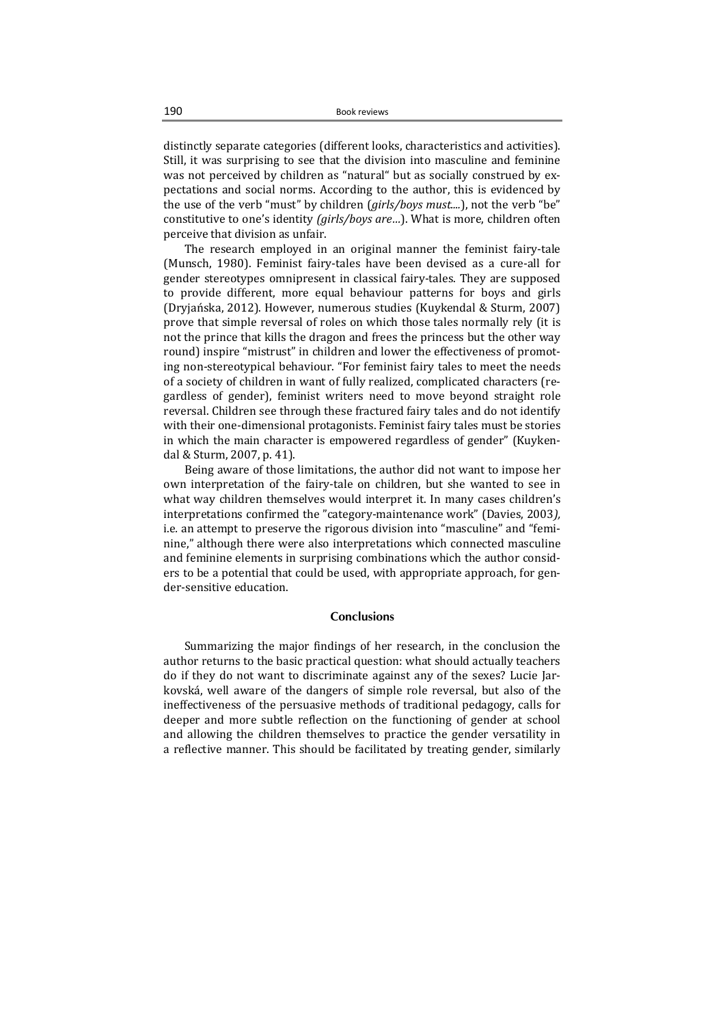distinctly separate categories (different looks, characteristics and activities). Still, it was surprising to see that the division into masculine and feminine was not perceived by children as "natural" but as socially construed by expectations and social norms. According to the author, this is evidenced by the use of the verb "must" by children (*girls/boys must....*), not the verb "be" constitutive to one's identity (girls/boys are...). What is more, children often perceive that division as unfair.

The research employed in an original manner the feminist fairy-tale (Munsch, 1980). Feminist fairy-tales have been devised as a cure-all for gender stereotypes omnipresent in classical fairy-tales. They are supposed to provide different, more equal behaviour patterns for boys and girls (Dryjańska, 2012). However, numerous studies (Kuykendal & Sturm, 2007) prove that simple reversal of roles on which those tales normally rely (it is not the prince that kills the dragon and frees the princess but the other way round) inspire "mistrust" in children and lower the effectiveness of promoting non-stereotypical behaviour. "For feminist fairy tales to meet the needs of a society of children in want of fully realized, complicated characters (regardless of gender), feminist writers need to move beyond straight role reversal. Children see through these fractured fairy tales and do not identify with their one-dimensional protagonists. Feminist fairy tales must be stories in which the main character is empowered regardless of gender" (Kuykendal & Sturm, 2007, p. 41).

Being aware of those limitations, the author did not want to impose her own interpretation of the fairy-tale on children, but she wanted to see in what way children themselves would interpret it. In many cases children's interpretations confirmed the "category-maintenance work" (Davies, 2003), i.e. an attempt to preserve the rigorous division into "masculine" and "feminine," although there were also interpretations which connected masculine and feminine elements in surprising combinations which the author considers to be a potential that could be used, with appropriate approach, for gender-sensitive education.

#### **Conclusions**

Summarizing the major findings of her research, in the conclusion the author returns to the basic practical question: what should actually teachers do if they do not want to discriminate against any of the sexes? Lucie Jarkovská, well aware of the dangers of simple role reversal, but also of the ineffectiveness of the persuasive methods of traditional pedagogy, calls for deeper and more subtle reflection on the functioning of gender at school and allowing the children themselves to practice the gender versatility in a reflective manner. This should be facilitated by treating gender, similarly